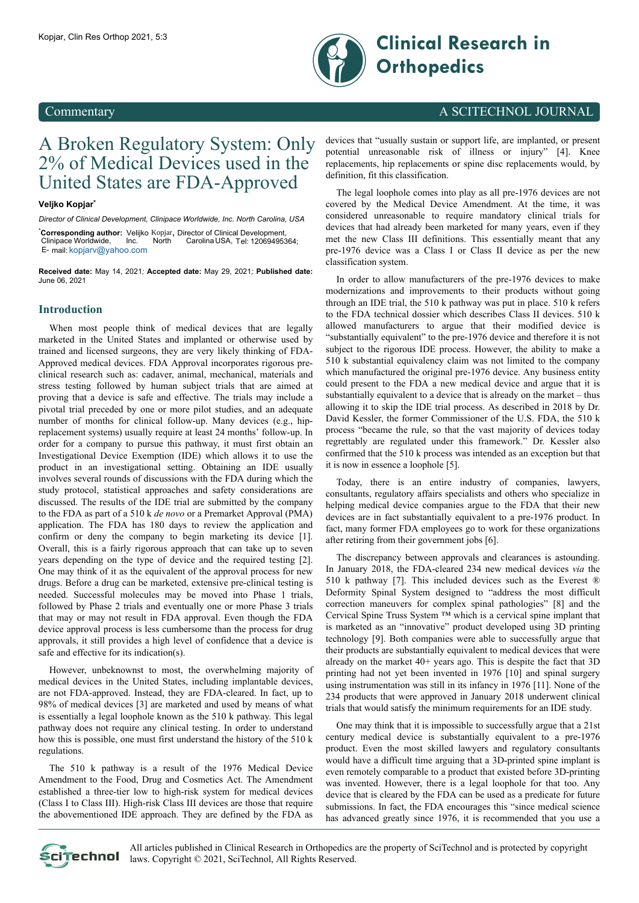

# Kopjar, Clin Res Orthop 2021, 5:3 **Clinical Research in Orthopedics**

### Commentary A SCITECHNOL JOURNAL

## A Broken Regulatory System: Only 2% of Medical Devices used in the United States are FDA-Approved

### **Veljko Kopjar\***

*Director of Clinical Development, Clinipace Worldwide, Inc. North Carolina, USA*

\* **Corresponding author:** Velijko Kopjar**,** Director of Clinical Development, Clinipace Worldwide, Inc. North Carolina USA, Tel: 12069495364; E- mail: [kopjarv@yahoo.c](mailto:kopjarv@yahoo.com)om

**Received date:** May 14, 2021*;* **Accepted date:** May 29, 2021*;* **Published date:** June 06, 2021

### **Introduction**

When most people think of medical devices that are legally marketed in the United States and implanted or otherwise used by trained and licensed surgeons, they are very likely thinking of FDA-Approved medical devices. FDA Approval incorporates rigorous preclinical research such as: cadaver, animal, mechanical, materials and stress testing followed by human subject trials that are aimed at proving that a device is safe and effective. The trials may include a pivotal trial preceded by one or more pilot studies, and an adequate number of months for clinical follow-up. Many devices (e.g., hipreplacement systems) usually require at least 24 months' follow-up. In order for a company to pursue this pathway, it must first obtain an Investigational Device Exemption (IDE) which allows it to use the product in an investigational setting. Obtaining an IDE usually involves several rounds of discussions with the FDA during which the study protocol, statistical approaches and safety considerations are discussed. The results of the IDE trial are submitted by the company to the FDA as part of a 510 k *de novo* or a Premarket Approval (PMA) application. The FDA has 180 days to review the application and confirm or deny the company to begin marketing its device [1]. Overall, this is a fairly rigorous approach that can take up to seven years depending on the type of device and the required testing [2]. One may think of it as the equivalent of the approval process for new drugs. Before a drug can be marketed, extensive pre-clinical testing is needed. Successful molecules may be moved into Phase 1 trials, followed by Phase 2 trials and eventually one or more Phase 3 trials that may or may not result in FDA approval. Even though the FDA device approval process is less cumbersome than the process for drug approvals, it still provides a high level of confidence that a device is safe and effective for its indication(s).

However, unbeknownst to most, the overwhelming majority of medical devices in the United States, including implantable devices, are not FDA-approved. Instead, they are FDA-cleared. In fact, up to 98% of medical devices [3] are marketed and used by means of what is essentially a legal loophole known as the 510 k pathway. This legal pathway does not require any clinical testing. In order to understand how this is possible, one must first understand the history of the 510 k regulations.

The 510 k pathway is a result of the 1976 Medical Device Amendment to the Food, Drug and Cosmetics Act. The Amendment established a three-tier low to high-risk system for medical devices (Class I to Class III). High-risk Class III devices are those that require the abovementioned IDE approach. They are defined by the FDA as

devices that "usually sustain or support life, are implanted, or present potential unreasonable risk of illness or injury" [4]. Knee replacements, hip replacements or spine disc replacements would, by definition, fit this classification.

The legal loophole comes into play as all pre-1976 devices are not covered by the Medical Device Amendment. At the time, it was considered unreasonable to require mandatory clinical trials for devices that had already been marketed for many years, even if they met the new Class III definitions. This essentially meant that any pre-1976 device was a Class I or Class II device as per the new classification system.

In order to allow manufacturers of the pre-1976 devices to make modernizations and improvements to their products without going through an IDE trial, the 510 k pathway was put in place. 510 k refers to the FDA technical dossier which describes Class II devices. 510 k allowed manufacturers to argue that their modified device is "substantially equivalent" to the pre-1976 device and therefore it is not subject to the rigorous IDE process. However, the ability to make a 510 k substantial equivalency claim was not limited to the company which manufactured the original pre-1976 device. Any business entity could present to the FDA a new medical device and argue that it is substantially equivalent to a device that is already on the market – thus allowing it to skip the IDE trial process. As described in 2018 by Dr. David Kessler, the former Commissioner of the U.S. FDA, the 510 k process "became the rule, so that the vast majority of devices today regrettably are regulated under this framework." Dr. Kessler also confirmed that the 510 k process was intended as an exception but that it is now in essence a loophole [5].

Today, there is an entire industry of companies, lawyers, consultants, regulatory affairs specialists and others who specialize in helping medical device companies argue to the FDA that their new devices are in fact substantially equivalent to a pre-1976 product. In fact, many former FDA employees go to work for these organizations after retiring from their government jobs [6].

The discrepancy between approvals and clearances is astounding. In January 2018, the FDA-cleared 234 new medical devices *via* the 510 k pathway [7]. This included devices such as the Everest ® Deformity Spinal System designed to "address the most difficult correction maneuvers for complex spinal pathologies" [8] and the Cervical Spine Truss System ™ which is a cervical spine implant that is marketed as an "innovative" product developed using 3D printing technology [9]. Both companies were able to successfully argue that their products are substantially equivalent to medical devices that were already on the market 40+ years ago. This is despite the fact that 3D printing had not yet been invented in 1976 [10] and spinal surgery using instrumentation was still in its infancy in 1976 [11]. None of the 234 products that were approved in January 2018 underwent clinical trials that would satisfy the minimum requirements for an IDE study.

One may think that it is impossible to successfully argue that a 21st century medical device is substantially equivalent to a pre-1976 product. Even the most skilled lawyers and regulatory consultants would have a difficult time arguing that a 3D-printed spine implant is even remotely comparable to a product that existed before 3D-printing was invented. However, there is a legal loophole for that too. Any device that is cleared by the FDA can be used as a predicate for future submissions. In fact, the FDA encourages this "since medical science has advanced greatly since 1976, it is recommended that you use a



All articles published in Clinical Research in Orthopedics are the property of SciTechnol and is protected by copyright Scitechnol laws. Copyright © 2021, SciTechnol, All Rights Reserved.